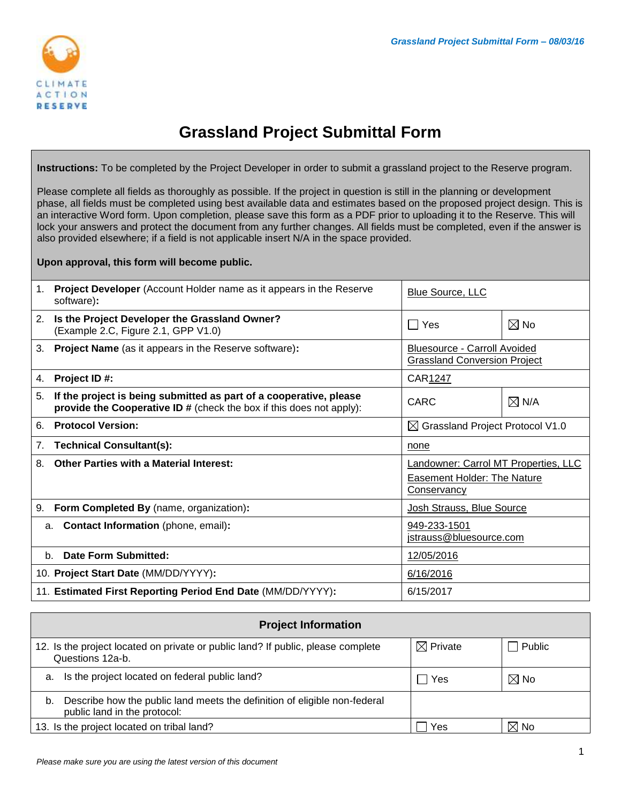

## **Grassland Project Submittal Form**

**Instructions:** To be completed by the Project Developer in order to submit a grassland project to the Reserve program.

Please complete all fields as thoroughly as possible. If the project in question is still in the planning or development phase, all fields must be completed using best available data and estimates based on the proposed project design. This is an interactive Word form. Upon completion, please save this form as a PDF prior to uploading it to the Reserve. This will lock your answers and protect the document from any further changes. All fields must be completed, even if the answer is also provided elsewhere; if a field is not applicable insert N/A in the space provided.

**Upon approval, this form will become public.**

| 1. | <b>Project Developer</b> (Account Holder name as it appears in the Reserve<br>software):                                                          | <b>Blue Source, LLC</b>                                                            |                 |
|----|---------------------------------------------------------------------------------------------------------------------------------------------------|------------------------------------------------------------------------------------|-----------------|
| 2. | Is the Project Developer the Grassland Owner?<br>(Example 2.C, Figure 2.1, GPP V1.0)                                                              | $\sqcap$ Yes                                                                       | $\boxtimes$ No  |
| 3. | <b>Project Name</b> (as it appears in the Reserve software):                                                                                      | <b>Bluesource - Carroll Avoided</b><br><b>Grassland Conversion Project</b>         |                 |
| 4. | Project ID#:                                                                                                                                      | CAR1247                                                                            |                 |
| 5. | If the project is being submitted as part of a cooperative, please<br><b>provide the Cooperative ID #</b> (check the box if this does not apply): | <b>CARC</b>                                                                        | $\boxtimes$ N/A |
| 6. | <b>Protocol Version:</b>                                                                                                                          | $\boxtimes$ Grassland Project Protocol V1.0                                        |                 |
| 7. | <b>Technical Consultant(s):</b>                                                                                                                   | none                                                                               |                 |
| 8. | <b>Other Parties with a Material Interest:</b>                                                                                                    | Landowner: Carrol MT Properties, LLC<br>Easement Holder: The Nature<br>Conservancy |                 |
| 9. | Form Completed By (name, organization):                                                                                                           | Josh Strauss, Blue Source                                                          |                 |
| a. | Contact Information (phone, email):                                                                                                               | 949-233-1501<br>jstrauss@bluesource.com                                            |                 |
|    | <b>Date Form Submitted:</b><br>b <sub>1</sub><br>12/05/2016                                                                                       |                                                                                    |                 |
|    | 10. Project Start Date (MM/DD/YYYY):                                                                                                              | 6/16/2016                                                                          |                 |
|    | 11. Estimated First Reporting Period End Date (MM/DD/YYYY):                                                                                       | 6/15/2017                                                                          |                 |

<span id="page-0-0"></span>

| <b>Project Information</b>                                                                                      |                     |                |  |
|-----------------------------------------------------------------------------------------------------------------|---------------------|----------------|--|
| 12. Is the project located on private or public land? If public, please complete<br>Questions 12a-b.            | $\boxtimes$ Private | Public         |  |
| Is the project located on federal public land?<br>a.                                                            | Yes                 | $\boxtimes$ No |  |
| Describe how the public land meets the definition of eligible non-federal<br>b.<br>public land in the protocol: |                     |                |  |
| 13. Is the project located on tribal land?                                                                      | Yes                 | $\boxtimes$ No |  |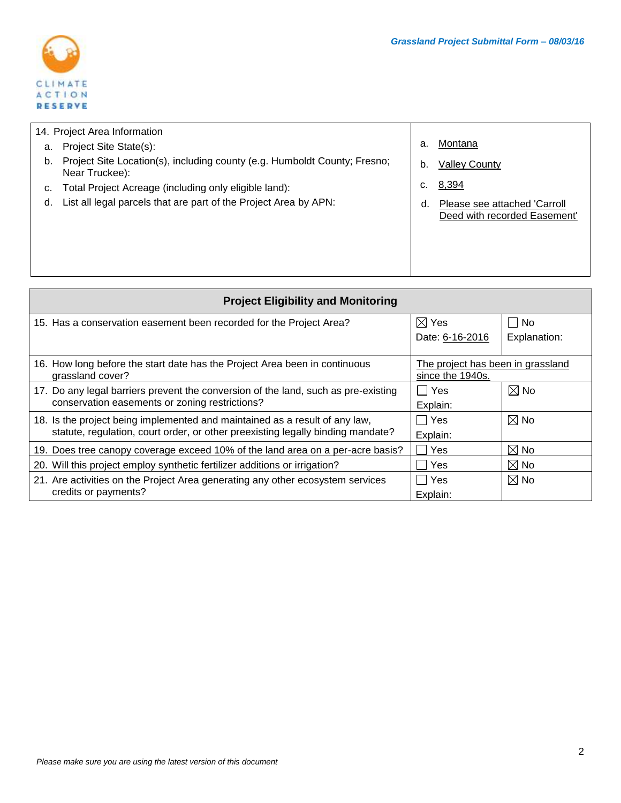

| 14. Project Area Information |                                                                                             |    |                                                              |
|------------------------------|---------------------------------------------------------------------------------------------|----|--------------------------------------------------------------|
| a.                           | Project Site State(s):                                                                      | а. | Montana                                                      |
| b.                           | Project Site Location(s), including county (e.g. Humboldt County; Fresno;<br>Near Truckee): | b. | <b>Valley County</b>                                         |
|                              | Total Project Acreage (including only eligible land):                                       | c. | 8,394                                                        |
| d.                           | List all legal parcels that are part of the Project Area by APN:                            | d. | Please see attached 'Carroll<br>Deed with recorded Easement' |
|                              |                                                                                             |    |                                                              |

| <b>Project Eligibility and Monitoring</b>                                                                                                                      |                                                       |                |  |
|----------------------------------------------------------------------------------------------------------------------------------------------------------------|-------------------------------------------------------|----------------|--|
| 15. Has a conservation easement been recorded for the Project Area?                                                                                            | $\boxtimes$ Yes                                       | No             |  |
|                                                                                                                                                                | Date: 6-16-2016                                       | Explanation:   |  |
| 16. How long before the start date has the Project Area been in continuous<br>grassland cover?                                                                 | The project has been in grassland<br>since the 1940s. |                |  |
| 17. Do any legal barriers prevent the conversion of the land, such as pre-existing                                                                             | ∣ Yes                                                 | $\boxtimes$ No |  |
| conservation easements or zoning restrictions?                                                                                                                 | Explain:                                              |                |  |
| 18. Is the project being implemented and maintained as a result of any law,<br>statute, regulation, court order, or other preexisting legally binding mandate? | l I Yes                                               | $\boxtimes$ No |  |
|                                                                                                                                                                | Explain:                                              |                |  |
| 19. Does tree canopy coverage exceed 10% of the land area on a per-acre basis?                                                                                 | Yes                                                   | $\boxtimes$ No |  |
| 20. Will this project employ synthetic fertilizer additions or irrigation?                                                                                     | Yes                                                   | $\boxtimes$ No |  |
| 21. Are activities on the Project Area generating any other ecosystem services                                                                                 | Yes                                                   | $\boxtimes$ No |  |
| credits or payments?                                                                                                                                           | Explain:                                              |                |  |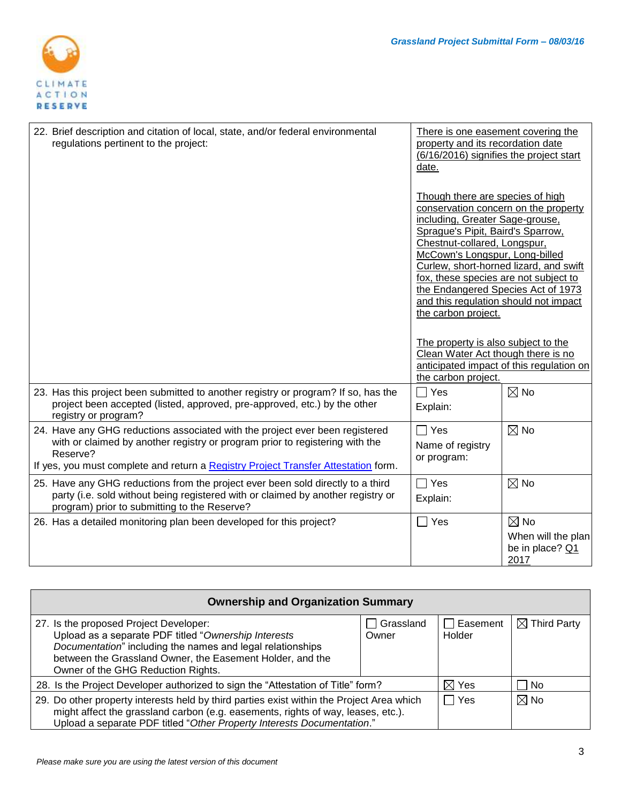

| 22. Brief description and citation of local, state, and/or federal environmental<br>regulations pertinent to the project:                                                                                                                                      | There is one easement covering the<br>property and its recordation date<br>(6/16/2016) signifies the project start<br>date.                                                                                                                                                                                                                                                                                                                                                                                                          |                                                                 |
|----------------------------------------------------------------------------------------------------------------------------------------------------------------------------------------------------------------------------------------------------------------|--------------------------------------------------------------------------------------------------------------------------------------------------------------------------------------------------------------------------------------------------------------------------------------------------------------------------------------------------------------------------------------------------------------------------------------------------------------------------------------------------------------------------------------|-----------------------------------------------------------------|
|                                                                                                                                                                                                                                                                | Though there are species of high<br>conservation concern on the property<br>including, Greater Sage-grouse,<br>Sprague's Pipit, Baird's Sparrow,<br>Chestnut-collared, Longspur,<br>McCown's Longspur, Long-billed<br>Curlew, short-horned lizard, and swift<br>fox, these species are not subject to<br>the Endangered Species Act of 1973<br>and this regulation should not impact<br>the carbon project.<br>The property is also subject to the<br>Clean Water Act though there is no<br>anticipated impact of this regulation on |                                                                 |
| 23. Has this project been submitted to another registry or program? If so, has the                                                                                                                                                                             | the carbon project.<br>$\Box$ Yes                                                                                                                                                                                                                                                                                                                                                                                                                                                                                                    | $\boxtimes$ No                                                  |
| project been accepted (listed, approved, pre-approved, etc.) by the other<br>registry or program?                                                                                                                                                              | Explain:                                                                                                                                                                                                                                                                                                                                                                                                                                                                                                                             |                                                                 |
| 24. Have any GHG reductions associated with the project ever been registered<br>with or claimed by another registry or program prior to registering with the<br>Reserve?<br>If yes, you must complete and return a Registry Project Transfer Attestation form. | $\Box$ Yes<br>Name of registry<br>or program:                                                                                                                                                                                                                                                                                                                                                                                                                                                                                        | $\boxtimes$ No                                                  |
| 25. Have any GHG reductions from the project ever been sold directly to a third<br>party (i.e. sold without being registered with or claimed by another registry or<br>program) prior to submitting to the Reserve?                                            | $\Box$ Yes<br>Explain:                                                                                                                                                                                                                                                                                                                                                                                                                                                                                                               | $\boxtimes$ No                                                  |
| 26. Has a detailed monitoring plan been developed for this project?                                                                                                                                                                                            | $\square$ Yes                                                                                                                                                                                                                                                                                                                                                                                                                                                                                                                        | $\boxtimes$ No<br>When will the plan<br>be in place? Q1<br>2017 |

| <b>Ownership and Organization Summary</b>                                                                                                                                                                                                                       |                    |                    |                         |
|-----------------------------------------------------------------------------------------------------------------------------------------------------------------------------------------------------------------------------------------------------------------|--------------------|--------------------|-------------------------|
| 27. Is the proposed Project Developer:<br>Upload as a separate PDF titled "Ownership Interests<br>Documentation" including the names and legal relationships<br>between the Grassland Owner, the Easement Holder, and the<br>Owner of the GHG Reduction Rights. | Grassland<br>Owner | Easement<br>Holder | $\boxtimes$ Third Party |
| 28. Is the Project Developer authorized to sign the "Attestation of Title" form?                                                                                                                                                                                |                    | $\boxtimes$ Yes    | No                      |
| 29. Do other property interests held by third parties exist within the Project Area which<br>might affect the grassland carbon (e.g. easements, rights of way, leases, etc.).<br>Upload a separate PDF titled "Other Property Interests Documentation."         |                    | Yes                | $\boxtimes$ No          |